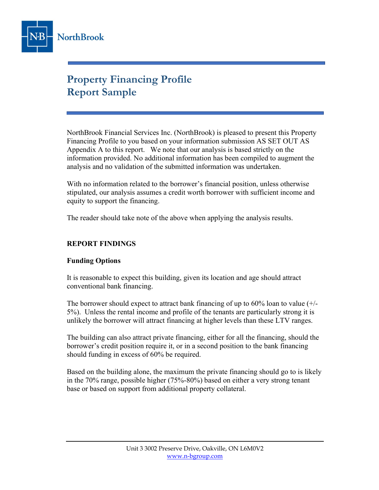

# Property Financing Profile Report Sample

NorthBrook Financial Services Inc. (NorthBrook) is pleased to present this Property Financing Profile to you based on your information submission AS SET OUT AS Appendix A to this report. We note that our analysis is based strictly on the information provided. No additional information has been compiled to augment the analysis and no validation of the submitted information was undertaken.

With no information related to the borrower's financial position, unless otherwise stipulated, our analysis assumes a credit worth borrower with sufficient income and equity to support the financing.

The reader should take note of the above when applying the analysis results.

### REPORT FINDINGS

#### Funding Options

It is reasonable to expect this building, given its location and age should attract conventional bank financing.

The borrower should expect to attract bank financing of up to  $60\%$  loan to value  $(+)$ 5%). Unless the rental income and profile of the tenants are particularly strong it is unlikely the borrower will attract financing at higher levels than these LTV ranges.

The building can also attract private financing, either for all the financing, should the borrower's credit position require it, or in a second position to the bank financing should funding in excess of 60% be required.

Based on the building alone, the maximum the private financing should go to is likely in the 70% range, possible higher (75%-80%) based on either a very strong tenant base or based on support from additional property collateral.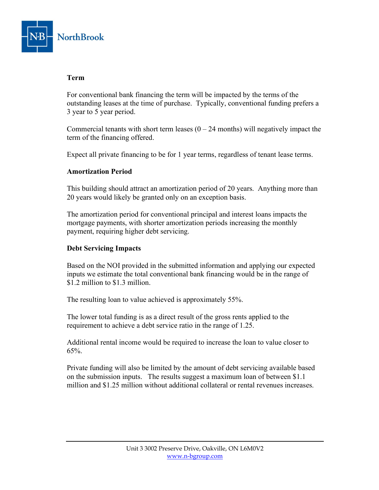

#### Term

For conventional bank financing the term will be impacted by the terms of the outstanding leases at the time of purchase. Typically, conventional funding prefers a 3 year to 5 year period.

Commercial tenants with short term leases  $(0 - 24$  months) will negatively impact the term of the financing offered.

Expect all private financing to be for 1 year terms, regardless of tenant lease terms.

#### Amortization Period

This building should attract an amortization period of 20 years. Anything more than 20 years would likely be granted only on an exception basis.

The amortization period for conventional principal and interest loans impacts the mortgage payments, with shorter amortization periods increasing the monthly payment, requiring higher debt servicing.

#### Debt Servicing Impacts

Based on the NOI provided in the submitted information and applying our expected inputs we estimate the total conventional bank financing would be in the range of \$1.2 million to \$1.3 million.

The resulting loan to value achieved is approximately 55%.

The lower total funding is as a direct result of the gross rents applied to the requirement to achieve a debt service ratio in the range of 1.25.

Additional rental income would be required to increase the loan to value closer to 65%.

Private funding will also be limited by the amount of debt servicing available based on the submission inputs. The results suggest a maximum loan of between \$1.1 million and \$1.25 million without additional collateral or rental revenues increases.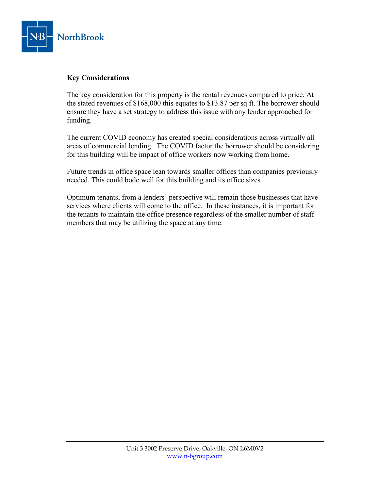

#### Key Considerations

The key consideration for this property is the rental revenues compared to price. At the stated revenues of \$168,000 this equates to \$13.87 per sq ft. The borrower should ensure they have a set strategy to address this issue with any lender approached for funding.

The current COVID economy has created special considerations across virtually all areas of commercial lending. The COVID factor the borrower should be considering for this building will be impact of office workers now working from home.

Future trends in office space lean towards smaller offices than companies previously needed. This could bode well for this building and its office sizes.

Optimum tenants, from a lenders' perspective will remain those businesses that have services where clients will come to the office. In these instances, it is important for the tenants to maintain the office presence regardless of the smaller number of staff members that may be utilizing the space at any time.